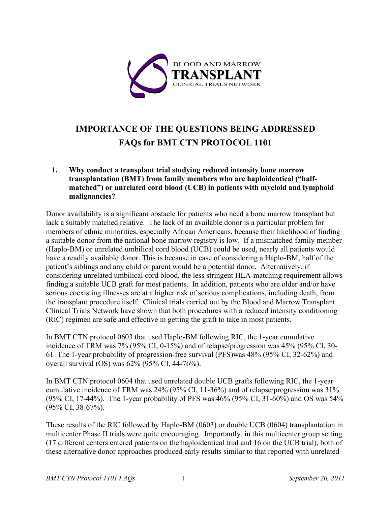

# **IMPORTANCE OF THE QUESTIONS BEING ADDRESSED FAQs for BMT CTN PROTOCOL 1101**

### **1. Why conduct a transplant trial studying reduced intensity bone marrow transplantation (BMT) from family members who are haploidentical ("halfmatched") or unrelated cord blood (UCB) in patients with myeloid and lymphoid malignancies?**

Donor availability is a significant obstacle for patients who need a bone marrow transplant but lack a suitably matched relative. The lack of an available donor is a particular problem for members of ethnic minorities, especially African Americans, because their likelihood of finding a suitable donor from the national bone marrow registry is low. If a mismatched family member (Haplo-BM) or unrelated umbilical cord blood (UCB) could be used, nearly all patients would have a readily available donor. This is because in case of considering a Haplo-BM, half of the patient's siblings and any child or parent would be a potential donor. Alternatively, if considering unrelated umbilical cord blood, the less stringent HLA-matching requirement allows finding a suitable UCB graft for most patients. In addition, patients who are older and/or have serious coexisting illnesses are at a higher risk of serious complications, including death, from the transplant procedure itself. Clinical trials carried out by the Blood and Marrow Transplant Clinical Trials Network have shown that both procedures with a reduced intensity conditioning (RIC) regimen are safe and effective in getting the graft to take in most patients.

In BMT CTN protocol 0603 that used Haplo-BM following RIC, the 1-year cumulative incidence of TRM was 7% (95% CI, 0-15%) and of relapse/progression was 45% (95% CI, 30- 61 The 1-year probability of progression-free survival (PFS)was 48% (95% CI, 32-62%) and overall survival (OS) was 62% (95% CI, 44-76%).

In BMT CTN protocol 0604 that used unrelated double UCB grafts following RIC, the 1-year cumulative incidence of TRM was 24% (95% CI, 11-36%) and of relapse/progression was 31% (95% CI, 17-44%). The 1-year probability of PFS was 46% (95% CI, 31-60%) and OS was 54% (95% CI, 38-67%).

These results of the RIC followed by Haplo-BM (0603) or double UCB (0604) transplantation in multicenter Phase II trials were quite encouraging. Importantly, in this multicenter group setting (17 different centers entered patients on the haploidentical trial and 16 on the UCB trial), both of these alternative donor approaches produced early results similar to that reported with unrelated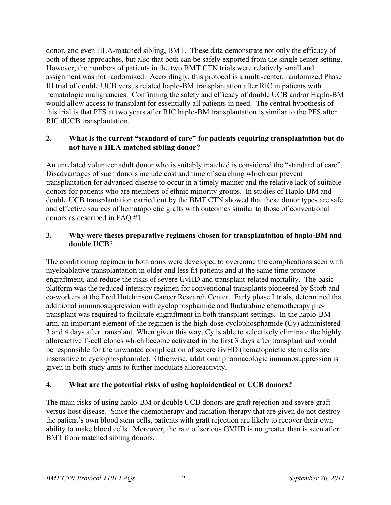donor, and even HLA-matched sibling, BMT. These data demonstrate not only the efficacy of both of these approaches, but also that both can be safely exported from the single center setting. However, the numbers of patients in the two BMT CTN trials were relatively small and assignment was not randomized. Accordingly, this protocol is a multi-center, randomized Phase III trial of double UCB versus related haplo-BM transplantation after RIC in patients with hematologic malignancies. Confirming the safety and efficacy of double UCB and/or Haplo-BM would allow access to transplant for essentially all patients in need. The central hypothesis of this trial is that PFS at two years after RIC haplo-BM transplantation is similar to the PFS after RIC dUCB transplantation.

#### **2. What is the current "standard of care" for patients requiring transplantation but do not have a HLA matched sibling donor?**

An unrelated volunteer adult donor who is suitably matched is considered the "standard of care". Disadvantages of such donors include cost and time of searching which can prevent transplantation for advanced disease to occur in a timely manner and the relative lack of suitable donors for patients who are members of ethnic minority groups. In studies of Haplo-BM and double UCB transplantation carried out by the BMT CTN showed that these donor types are safe and effective sources of hematopoietic grafts with outcomes similar to those of conventional donors as described in FAQ #1.

### **3. Why were theses preparative regimens chosen for transplantation of haplo-BM and double UCB**?

The conditioning regimen in both arms were developed to overcome the complications seen with myeloablative transplantation in older and less fit patients and at the same time promote engraftment, and reduce the risks of severe GvHD and transplant-related mortality. The basic platform was the reduced intensity regimen for conventional transplants pioneered by Storb and co-workers at the Fred Hutchinson Cancer Research Center. Early phase I trials, determined that additional immunosuppression with cyclophosphamide and fludarabine chemotherapy pretransplant was required to facilitate engraftment in both transplant settings. In the haplo-BM arm, an important element of the regimen is the high-dose cyclophosphamide (Cy) administered 3 and 4 days after transplant. When given this way, Cy is able to selectively eliminate the highly alloreactive T-cell clones which become activated in the first 3 days after transplant and would be responsible for the unwanted complication of severe GvHD (hematopoietic stem cells are insensitive to cyclophosphamide). Otherwise, additional pharmacologic immunosuppression is given in both study arms to further modulate alloreactivity.

#### **4. What are the potential risks of using haploidentical or UCB donors?**

The main risks of using haplo-BM or double UCB donors are graft rejection and severe graftversus-host disease. Since the chemotherapy and radiation therapy that are given do not destroy the patient's own blood stem cells, patients with graft rejection are likely to recover their own ability to make blood cells. Moreover, the rate of serious GVHD is no greater than is seen after BMT from matched sibling donors.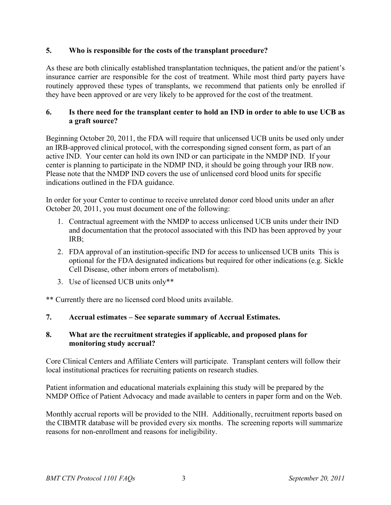# **5. Who is responsible for the costs of the transplant procedure?**

As these are both clinically established transplantation techniques, the patient and/or the patient's insurance carrier are responsible for the cost of treatment. While most third party payers have routinely approved these types of transplants, we recommend that patients only be enrolled if they have been approved or are very likely to be approved for the cost of the treatment.

### **6. Is there need for the transplant center to hold an IND in order to able to use UCB as a graft source?**

Beginning October 20, 2011, the FDA will require that unlicensed UCB units be used only under an IRB-approved clinical protocol, with the corresponding signed consent form, as part of an active IND. Your center can hold its own IND or can participate in the NMDP IND. If your center is planning to participate in the NDMP IND, it should be going through your IRB now. Please note that the NMDP IND covers the use of unlicensed cord blood units for specific indications outlined in the FDA guidance.

In order for your Center to continue to receive unrelated donor cord blood units under an after October 20, 2011, you must document one of the following:

- 1. Contractual agreement with the NMDP to access unlicensed UCB units under their IND and documentation that the protocol associated with this IND has been approved by your IRB;
- 2. FDA approval of an institution-specific IND for access to unlicensed UCB units This is optional for the FDA designated indications but required for other indications (e.g. Sickle Cell Disease, other inborn errors of metabolism).
- 3. Use of licensed UCB units only\*\*

\*\* Currently there are no licensed cord blood units available.

# **7. Accrual estimates – See separate summary of Accrual Estimates.**

# **8. What are the recruitment strategies if applicable, and proposed plans for monitoring study accrual?**

Core Clinical Centers and Affiliate Centers will participate. Transplant centers will follow their local institutional practices for recruiting patients on research studies.

Patient information and educational materials explaining this study will be prepared by the NMDP Office of Patient Advocacy and made available to centers in paper form and on the Web.

Monthly accrual reports will be provided to the NIH. Additionally, recruitment reports based on the CIBMTR database will be provided every six months. The screening reports will summarize reasons for non-enrollment and reasons for ineligibility.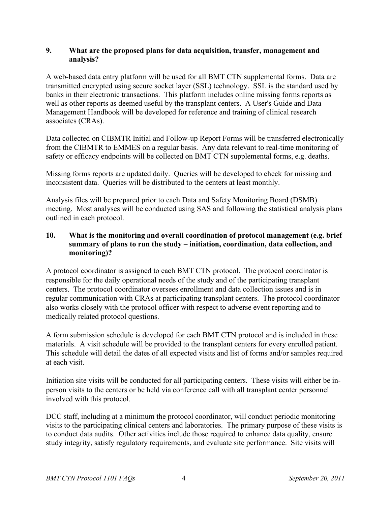#### **9. What are the proposed plans for data acquisition, transfer, management and analysis?**

A web-based data entry platform will be used for all BMT CTN supplemental forms. Data are transmitted encrypted using secure socket layer (SSL) technology. SSL is the standard used by banks in their electronic transactions. This platform includes online missing forms reports as well as other reports as deemed useful by the transplant centers. A User's Guide and Data Management Handbook will be developed for reference and training of clinical research associates (CRAs).

Data collected on CIBMTR Initial and Follow-up Report Forms will be transferred electronically from the CIBMTR to EMMES on a regular basis. Any data relevant to real-time monitoring of safety or efficacy endpoints will be collected on BMT CTN supplemental forms, e.g. deaths.

Missing forms reports are updated daily. Queries will be developed to check for missing and inconsistent data. Queries will be distributed to the centers at least monthly.

Analysis files will be prepared prior to each Data and Safety Monitoring Board (DSMB) meeting. Most analyses will be conducted using SAS and following the statistical analysis plans outlined in each protocol.

# **10. What is the monitoring and overall coordination of protocol management (e.g. brief summary of plans to run the study – initiation, coordination, data collection, and monitoring)?**

A protocol coordinator is assigned to each BMT CTN protocol. The protocol coordinator is responsible for the daily operational needs of the study and of the participating transplant centers. The protocol coordinator oversees enrollment and data collection issues and is in regular communication with CRAs at participating transplant centers. The protocol coordinator also works closely with the protocol officer with respect to adverse event reporting and to medically related protocol questions.

A form submission schedule is developed for each BMT CTN protocol and is included in these materials. A visit schedule will be provided to the transplant centers for every enrolled patient. This schedule will detail the dates of all expected visits and list of forms and/or samples required at each visit.

Initiation site visits will be conducted for all participating centers. These visits will either be inperson visits to the centers or be held via conference call with all transplant center personnel involved with this protocol.

DCC staff, including at a minimum the protocol coordinator, will conduct periodic monitoring visits to the participating clinical centers and laboratories. The primary purpose of these visits is to conduct data audits. Other activities include those required to enhance data quality, ensure study integrity, satisfy regulatory requirements, and evaluate site performance. Site visits will